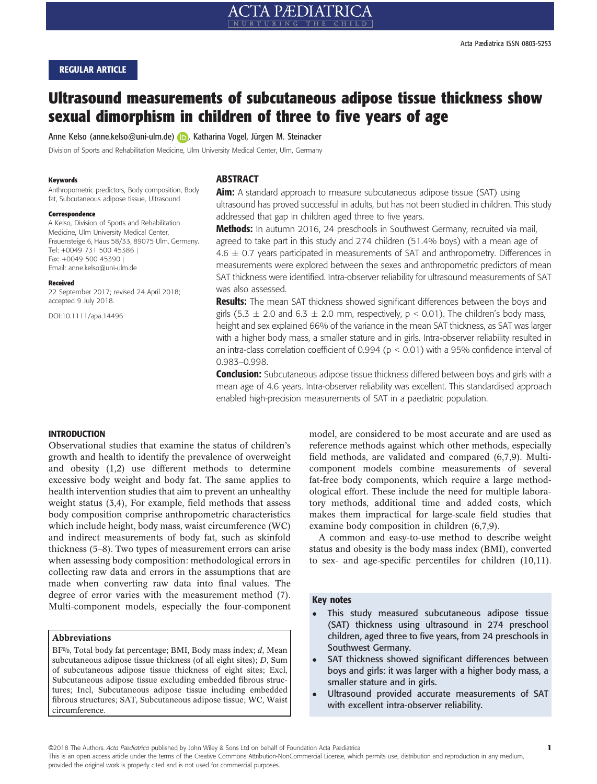# Ultrasound measurements of subcutaneous adipose tissue thickness show sexual dimorphism in children of three to five years of age

Anne Kelso (anne.kelso@uni-ulm.de[\)](http://orcid.org/0000-0002-2104-2926) **(b)**, Katharina Vogel, Jürgen M. Steinacker

Division of Sports and Rehabilitation Medicine, Ulm University Medical Center, Ulm, Germany

### Keywords

Anthropometric predictors, Body composition, Body fat, Subcutaneous adipose tissue, Ultrasound

#### Correspondence

A Kelso, Division of Sports and Rehabilitation Medicine, Ulm University Medical Center, Frauensteige 6, Haus 58/33, 89075 Ulm, Germany. Tel: +0049 731 500 45386 | Fax: +0049 500 45390 | Email: anne.kelso@uni-ulm.de

#### Received

22 September 2017; revised 24 April 2018; accepted 9 July 2018.

DOI:10.1111/apa.14496

# **ARSTRACT**

**Aim:** A standard approach to measure subcutaneous adipose tissue (SAT) using ultrasound has proved successful in adults, but has not been studied in children. This study addressed that gap in children aged three to five years.

Methods: In autumn 2016, 24 preschools in Southwest Germany, recruited via mail, agreed to take part in this study and 274 children (51.4% boys) with a mean age of  $4.6 \pm 0.7$  years participated in measurements of SAT and anthropometry. Differences in measurements were explored between the sexes and anthropometric predictors of mean SAT thickness were identified. Intra-observer reliability for ultrasound measurements of SAT was also assessed.

Results: The mean SAT thickness showed significant differences between the boys and girls (5.3  $\pm$  2.0 and 6.3  $\pm$  2.0 mm, respectively, p < 0.01). The children's body mass, height and sex explained 66% of the variance in the mean SAT thickness, as SAT was larger with a higher body mass, a smaller stature and in girls. Intra-observer reliability resulted in an intra-class correlation coefficient of 0.994 ( $p < 0.01$ ) with a 95% confidence interval of 0.983–0.998.

**Conclusion:** Subcutaneous adipose tissue thickness differed between boys and girls with a mean age of 4.6 years. Intra-observer reliability was excellent. This standardised approach enabled high-precision measurements of SAT in a paediatric population.

# INTRODUCTION

Observational studies that examine the status of children's growth and health to identify the prevalence of overweight and obesity (1,2) use different methods to determine excessive body weight and body fat. The same applies to health intervention studies that aim to prevent an unhealthy weight status (3,4), For example, field methods that assess body composition comprise anthropometric characteristics which include height, body mass, waist circumference (WC) and indirect measurements of body fat, such as skinfold thickness (5–8). Two types of measurement errors can arise when assessing body composition: methodological errors in collecting raw data and errors in the assumptions that are made when converting raw data into final values. The degree of error varies with the measurement method (7). Multi-component models, especially the four-component

# Abbreviations

 $BF\%$ , Total body fat percentage; BMI, Body mass index;  $d$ , Mean subcutaneous adipose tissue thickness (of all eight sites); D, Sum of subcutaneous adipose tissue thickness of eight sites; Excl, Subcutaneous adipose tissue excluding embedded fibrous structures; Incl, Subcutaneous adipose tissue including embedded fibrous structures; SAT, Subcutaneous adipose tissue; WC, Waist circumference.

model, are considered to be most accurate and are used as reference methods against which other methods, especially field methods, are validated and compared (6,7,9). Multicomponent models combine measurements of several fat-free body components, which require a large methodological effort. These include the need for multiple laboratory methods, additional time and added costs, which makes them impractical for large-scale field studies that examine body composition in children (6,7,9).

A common and easy-to-use method to describe weight status and obesity is the body mass index (BMI), converted to sex- and age-specific percentiles for children (10,11).

#### Key notes

- This study measured subcutaneous adipose tissue (SAT) thickness using ultrasound in 274 preschool children, aged three to five years, from 24 preschools in Southwest Germany.
- SAT thickness showed significant differences between boys and girls: it was larger with a higher body mass, a smaller stature and in girls.
- Ultrasound provided accurate measurements of SAT with excellent intra-observer reliability.

©2018 The Authors. Acta Pædiatrica published by John Wiley & Sons Ltd on behalf of Foundation Acta Pædiatrica

This is an open access article under the terms of the [Creative Commons Attribution-NonCommercial](http://creativecommons.org/licenses/by-nc/4.0/) License, which permits use, distribution and reproduction in any medium, provided the original work is properly cited and is not used for commercial purposes.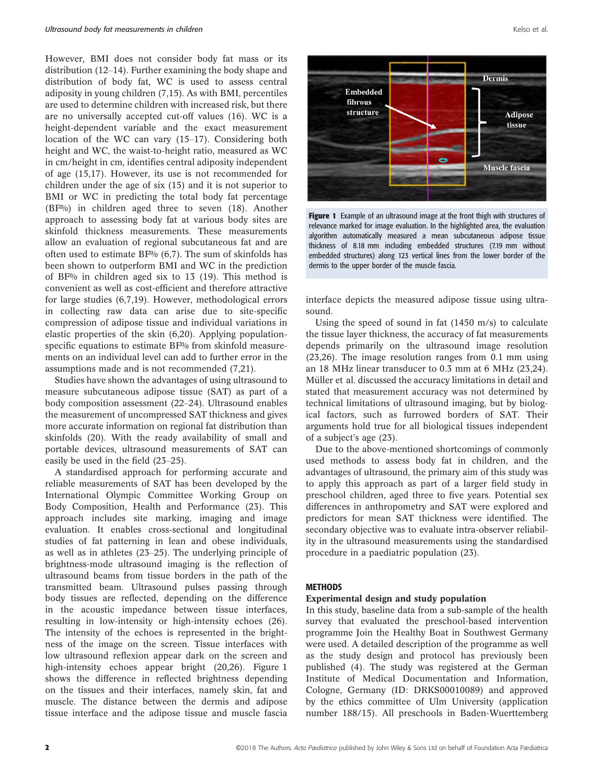However, BMI does not consider body fat mass or its distribution (12–14). Further examining the body shape and distribution of body fat, WC is used to assess central adiposity in young children (7,15). As with BMI, percentiles are used to determine children with increased risk, but there are no universally accepted cut-off values (16). WC is a height-dependent variable and the exact measurement location of the WC can vary (15–17). Considering both height and WC, the waist-to-height ratio, measured as WC in cm/height in cm, identifies central adiposity independent of age (15,17). However, its use is not recommended for children under the age of six (15) and it is not superior to BMI or WC in predicting the total body fat percentage (BF%) in children aged three to seven (18). Another approach to assessing body fat at various body sites are skinfold thickness measurements. These measurements allow an evaluation of regional subcutaneous fat and are often used to estimate  $BF\%$  (6,7). The sum of skinfolds has been shown to outperform BMI and WC in the prediction of BF% in children aged six to 13 (19). This method is convenient as well as cost-efficient and therefore attractive for large studies (6,7,19). However, methodological errors in collecting raw data can arise due to site-specific compression of adipose tissue and individual variations in elastic properties of the skin (6,20). Applying populationspecific equations to estimate BF% from skinfold measurements on an individual level can add to further error in the assumptions made and is not recommended (7,21).

Studies have shown the advantages of using ultrasound to measure subcutaneous adipose tissue (SAT) as part of a body composition assessment (22–24). Ultrasound enables the measurement of uncompressed SAT thickness and gives more accurate information on regional fat distribution than skinfolds (20). With the ready availability of small and portable devices, ultrasound measurements of SAT can easily be used in the field (23–25).

A standardised approach for performing accurate and reliable measurements of SAT has been developed by the International Olympic Committee Working Group on Body Composition, Health and Performance (23). This approach includes site marking, imaging and image evaluation. It enables cross-sectional and longitudinal studies of fat patterning in lean and obese individuals, as well as in athletes (23–25). The underlying principle of brightness-mode ultrasound imaging is the reflection of ultrasound beams from tissue borders in the path of the transmitted beam. Ultrasound pulses passing through body tissues are reflected, depending on the difference in the acoustic impedance between tissue interfaces, resulting in low-intensity or high-intensity echoes (26). The intensity of the echoes is represented in the brightness of the image on the screen. Tissue interfaces with low ultrasound reflexion appear dark on the screen and high-intensity echoes appear bright (20,26). Figure 1 shows the difference in reflected brightness depending on the tissues and their interfaces, namely skin, fat and muscle. The distance between the dermis and adipose tissue interface and the adipose tissue and muscle fascia



Figure 1 Example of an ultrasound image at the front thigh with structures of relevance marked for image evaluation. In the highlighted area, the evaluation algorithm automatically measured a mean subcutaneous adipose tissue thickness of 8.18 mm including embedded structures (7.19 mm without embedded structures) along 123 vertical lines from the lower border of the dermis to the upper border of the muscle fascia.

interface depicts the measured adipose tissue using ultrasound.

Using the speed of sound in fat (1450 m/s) to calculate the tissue layer thickness, the accuracy of fat measurements depends primarily on the ultrasound image resolution (23,26). The image resolution ranges from 0.1 mm using an 18 MHz linear transducer to 0.3 mm at 6 MHz (23,24). Müller et al. discussed the accuracy limitations in detail and stated that measurement accuracy was not determined by technical limitations of ultrasound imaging, but by biological factors, such as furrowed borders of SAT. Their arguments hold true for all biological tissues independent of a subject's age (23).

Due to the above-mentioned shortcomings of commonly used methods to assess body fat in children, and the advantages of ultrasound, the primary aim of this study was to apply this approach as part of a larger field study in preschool children, aged three to five years. Potential sex differences in anthropometry and SAT were explored and predictors for mean SAT thickness were identified. The secondary objective was to evaluate intra-observer reliability in the ultrasound measurements using the standardised procedure in a paediatric population (23).

# **METHODS**

# Experimental design and study population

In this study, baseline data from a sub-sample of the health survey that evaluated the preschool-based intervention programme Join the Healthy Boat in Southwest Germany were used. A detailed description of the programme as well as the study design and protocol has previously been published (4). The study was registered at the German Institute of Medical Documentation and Information, Cologne, Germany (ID: DRKS00010089) and approved by the ethics committee of Ulm University (application number 188/15). All preschools in Baden-Wuerttemberg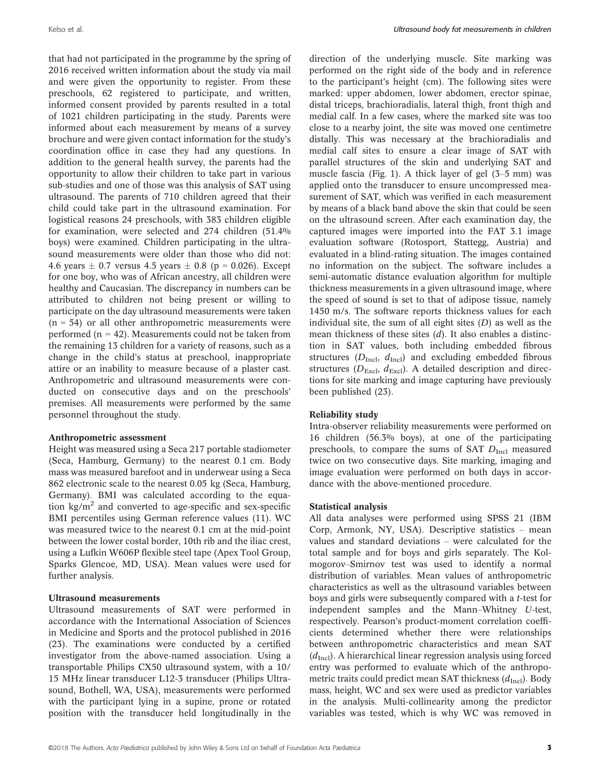that had not participated in the programme by the spring of 2016 received written information about the study via mail and were given the opportunity to register. From these preschools, 62 registered to participate, and written, informed consent provided by parents resulted in a total of 1021 children participating in the study. Parents were informed about each measurement by means of a survey brochure and were given contact information for the study's coordination office in case they had any questions. In addition to the general health survey, the parents had the opportunity to allow their children to take part in various sub-studies and one of those was this analysis of SAT using ultrasound. The parents of 710 children agreed that their child could take part in the ultrasound examination. For logistical reasons 24 preschools, with 383 children eligible for examination, were selected and 274 children (51.4% boys) were examined. Children participating in the ultrasound measurements were older than those who did not: 4.6 years  $\pm$  0.7 versus 4.5 years  $\pm$  0.8 (p = 0.026). Except for one boy, who was of African ancestry, all children were healthy and Caucasian. The discrepancy in numbers can be attributed to children not being present or willing to participate on the day ultrasound measurements were taken  $(n = 54)$  or all other anthropometric measurements were performed  $(n = 42)$ . Measurements could not be taken from the remaining 13 children for a variety of reasons, such as a change in the child's status at preschool, inappropriate attire or an inability to measure because of a plaster cast. Anthropometric and ultrasound measurements were conducted on consecutive days and on the preschools' premises. All measurements were performed by the same personnel throughout the study.

# Anthropometric assessment

Height was measured using a Seca 217 portable stadiometer (Seca, Hamburg, Germany) to the nearest 0.1 cm. Body mass was measured barefoot and in underwear using a Seca 862 electronic scale to the nearest 0.05 kg (Seca, Hamburg, Germany). BMI was calculated according to the equation  $kg/m^2$  and converted to age-specific and sex-specific BMI percentiles using German reference values (11). WC was measured twice to the nearest 0.1 cm at the mid-point between the lower costal border, 10th rib and the iliac crest, using a Lufkin W606P flexible steel tape (Apex Tool Group, Sparks Glencoe, MD, USA). Mean values were used for further analysis.

# Ultrasound measurements

Ultrasound measurements of SAT were performed in accordance with the International Association of Sciences in Medicine and Sports and the protocol published in 2016 (23). The examinations were conducted by a certified investigator from the above-named association. Using a transportable Philips CX50 ultrasound system, with a 10/ 15 MHz linear transducer L12-3 transducer (Philips Ultrasound, Bothell, WA, USA), measurements were performed with the participant lying in a supine, prone or rotated position with the transducer held longitudinally in the direction of the underlying muscle. Site marking was performed on the right side of the body and in reference to the participant's height (cm). The following sites were marked: upper abdomen, lower abdomen, erector spinae, distal triceps, brachioradialis, lateral thigh, front thigh and medial calf. In a few cases, where the marked site was too close to a nearby joint, the site was moved one centimetre distally. This was necessary at the brachioradialis and medial calf sites to ensure a clear image of SAT with parallel structures of the skin and underlying SAT and muscle fascia (Fig. 1). A thick layer of gel (3–5 mm) was applied onto the transducer to ensure uncompressed measurement of SAT, which was verified in each measurement by means of a black band above the skin that could be seen on the ultrasound screen. After each examination day, the captured images were imported into the FAT 3.1 image evaluation software (Rotosport, Stattegg, Austria) and evaluated in a blind-rating situation. The images contained no information on the subject. The software includes a semi-automatic distance evaluation algorithm for multiple thickness measurements in a given ultrasound image, where the speed of sound is set to that of adipose tissue, namely 1450 m/s. The software reports thickness values for each individual site, the sum of all eight sites (D) as well as the mean thickness of these sites  $(d)$ . It also enables a distinction in SAT values, both including embedded fibrous structures ( $D_{\text{Incl}}$ ,  $d_{\text{Incl}}$ ) and excluding embedded fibrous structures ( $D_{\text{Excl}}$ ,  $d_{\text{Excl}}$ ). A detailed description and directions for site marking and image capturing have previously been published (23).

# Reliability study

Intra-observer reliability measurements were performed on 16 children (56.3% boys), at one of the participating preschools, to compare the sums of SAT  $D_{\text{Incl}}$  measured twice on two consecutive days. Site marking, imaging and image evaluation were performed on both days in accordance with the above-mentioned procedure.

# Statistical analysis

All data analyses were performed using SPSS 21 (IBM Corp, Armonk, NY, USA). Descriptive statistics – mean values and standard deviations – were calculated for the total sample and for boys and girls separately. The Kolmogorov–Smirnov test was used to identify a normal distribution of variables. Mean values of anthropometric characteristics as well as the ultrasound variables between boys and girls were subsequently compared with a t-test for independent samples and the Mann–Whitney U-test, respectively. Pearson's product-moment correlation coefficients determined whether there were relationships between anthropometric characteristics and mean SAT  $(d_{\text{Incl}})$ . A hierarchical linear regression analysis using forced entry was performed to evaluate which of the anthropometric traits could predict mean SAT thickness  $(d_{\text{Incl}})$ . Body mass, height, WC and sex were used as predictor variables in the analysis. Multi-collinearity among the predictor variables was tested, which is why WC was removed in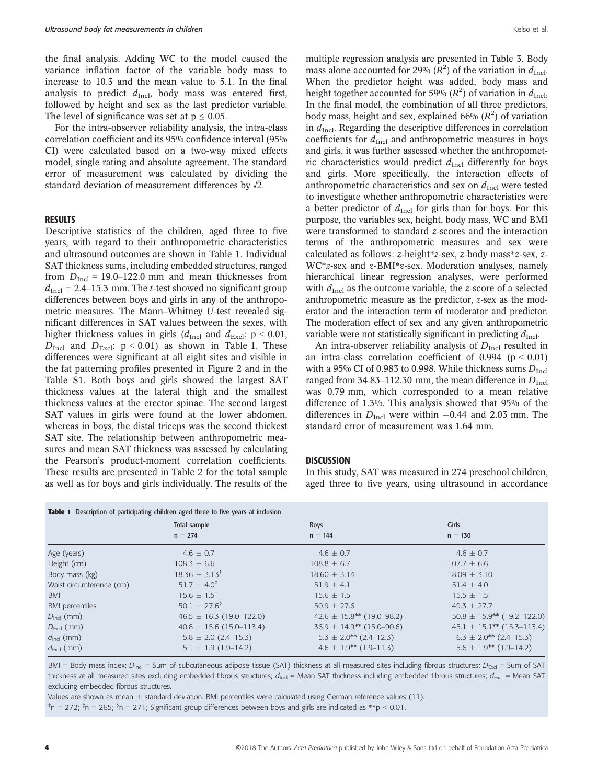the final analysis. Adding WC to the model caused the variance inflation factor of the variable body mass to increase to 10.3 and the mean value to 5.1. In the final analysis to predict  $d_{\text{Incl}}$ , body mass was entered first, followed by height and sex as the last predictor variable. The level of significance was set at  $p \le 0.05$ .

For the intra-observer reliability analysis, the intra-class correlation coefficient and its 95% confidence interval (95% CI) were calculated based on a two-way mixed effects model, single rating and absolute agreement. The standard error of measurement was calculated by dividing the standard deviation of measurement differences by  $\sqrt{2}$ .

# RESULTS

Descriptive statistics of the children, aged three to five years, with regard to their anthropometric characteristics and ultrasound outcomes are shown in Table 1. Individual SAT thickness sums, including embedded structures, ranged from  $D_{\text{Incl}}$  = 19.0–122.0 mm and mean thicknesses from  $d_{\text{Incl}}$  = 2.4–15.3 mm. The *t*-test showed no significant group differences between boys and girls in any of the anthropometric measures. The Mann–Whitney U-test revealed significant differences in SAT values between the sexes, with higher thickness values in girls ( $d_{\text{Incl}}$  and  $d_{\text{Excl}}$ : p < 0.01,  $D_{\text{Incl}}$  and  $D_{\text{Excl}}$ :  $p < 0.01$ ) as shown in Table 1. These differences were significant at all eight sites and visible in the fat patterning profiles presented in Figure 2 and in the Table S1. Both boys and girls showed the largest SAT thickness values at the lateral thigh and the smallest thickness values at the erector spinae. The second largest SAT values in girls were found at the lower abdomen, whereas in boys, the distal triceps was the second thickest SAT site. The relationship between anthropometric measures and mean SAT thickness was assessed by calculating the Pearson's product-moment correlation coefficients. These results are presented in Table 2 for the total sample as well as for boys and girls individually. The results of the

multiple regression analysis are presented in Table 3. Body mass alone accounted for 29% ( $R^2$ ) of the variation in  $d_{\text{Incl}}$ . When the predictor height was added, body mass and height together accounted for 59% ( $R^2$ ) of variation in  $d_{\rm Incl}$ , In the final model, the combination of all three predictors, body mass, height and sex, explained 66%  $(R^2)$  of variation in  $d_{\text{Incl}}$ . Regarding the descriptive differences in correlation coefficients for  $d_{\text{Incl}}$  and anthropometric measures in boys and girls, it was further assessed whether the anthropometric characteristics would predict  $d_{\text{Incl}}$  differently for boys and girls. More specifically, the interaction effects of anthropometric characteristics and sex on  $d_{\text{Incl}}$  were tested to investigate whether anthropometric characteristics were a better predictor of  $d_{\text{Incl}}$  for girls than for boys. For this purpose, the variables sex, height, body mass, WC and BMI were transformed to standard z-scores and the interaction terms of the anthropometric measures and sex were calculated as follows: z-height\*z-sex, z-body mass\*z-sex, z-WC\*z-sex and z-BMI\*z-sex. Moderation analyses, namely hierarchical linear regression analyses, were performed with  $d_{\text{Incl}}$  as the outcome variable, the z-score of a selected anthropometric measure as the predictor, z-sex as the moderator and the interaction term of moderator and predictor. The moderation effect of sex and any given anthropometric variable were not statistically significant in predicting  $d_{\text{Incl}}$ .

An intra-observer reliability analysis of  $D<sub>Incl</sub>$  resulted in an intra-class correlation coefficient of  $0.994$  ( $p < 0.01$ ) with a 95% CI of 0.983 to 0.998. While thickness sums  $D_{\text{Incl}}$ ranged from 34.83–112.30 mm, the mean difference in  $D_{\text{Incl}}$ was 0.79 mm, which corresponded to a mean relative difference of 1.3%. This analysis showed that 95% of the differences in  $D_{\text{Incl}}$  were within -0.44 and 2.03 mm. The standard error of measurement was 1.64 mm.

## **DISCUSSION**

In this study, SAT was measured in 274 preschool children, aged three to five years, using ultrasound in accordance

| <b>Table 1</b> Description of participating children aged three to five years at inclusion |                              |                                  |                                 |  |  |
|--------------------------------------------------------------------------------------------|------------------------------|----------------------------------|---------------------------------|--|--|
|                                                                                            | Total sample                 | <b>Boys</b>                      | Girls                           |  |  |
|                                                                                            | $n = 274$                    | $n = 144$                        | $n = 130$                       |  |  |
| Age (years)                                                                                | $4.6 \pm 0.7$                | $4.6 \pm 0.7$                    | $4.6 \pm 0.7$                   |  |  |
| Height (cm)                                                                                | $108.3 \pm 6.6$              | $108.8 \pm 6.7$                  | $107.7 \pm 6.6$                 |  |  |
| Body mass (kg)                                                                             | $18.36 \pm 3.13^{\dagger}$   | $18.60 \pm 3.14$                 | $18.09 \pm 3.10$                |  |  |
| Waist circumference (cm)                                                                   | $51.7 \pm 4.0^{\ddagger}$    | $51.9 \pm 4.1$                   | $51.4 \pm 4.0$                  |  |  |
| <b>BMI</b>                                                                                 | $15.6 \pm 1.5^{\dagger}$     | $15.6 \pm 1.5$                   | $15.5 \pm 1.5$                  |  |  |
| <b>BMI</b> percentiles                                                                     | 50.1 $\pm$ 27.6 <sup>§</sup> | $50.9 \pm 27.6$                  | $49.3 \pm 27.7$                 |  |  |
| $D_{\text{Ind}}$ (mm)                                                                      | $46.5 \pm 16.3$ (19.0-122.0) | $42.6 \pm 15.8$ ** (19.0–98.2)   | $50.8 \pm 15.9$ ** (19.2–122.0) |  |  |
| $D_{\text{Excl}}$ (mm)                                                                     | $40.8 \pm 15.6$ (15.0-113.4) | $36.9 \pm 14.9^{**}$ (15.0-90.6) | $45.1 \pm 15.1$ ** (15.3–113.4) |  |  |
| $d_{\text{incl}}$ (mm)                                                                     | $5.8 \pm 2.0$ (2.4-15.3)     | $5.3 \pm 2.0^{**}$ (2.4-12.3)    | $6.3 \pm 2.0^{**}$ (2.4–15.3)   |  |  |
| $d_{\text{Excl}}$ (mm)                                                                     | $5.1 \pm 1.9$ (1.9-14.2)     | $4.6 \pm 1.9** (1.9-11.3)$       | $5.6 \pm 1.9^{**}$ (1.9-14.2)   |  |  |

BMI = Body mass index;  $D_{\text{Incl}}$  = Sum of subcutaneous adipose tissue (SAT) thickness at all measured sites including fibrous structures;  $D_{\text{Excl}}$  = Sum of SAT thickness at all measured sites excluding embedded fibrous structures;  $d_{\text{Ind}}$  = Mean SAT thickness including embedded fibrous structures;  $d_{\text{Excl}}$  = Mean SAT excluding embedded fibrous structures.

Values are shown as mean  $\pm$  standard deviation. BMI percentiles were calculated using German reference values (11).

n = 272; ‡ n = 265; § n = 271; Significant group differences between boys and girls are indicated as \*\*p < 0.01.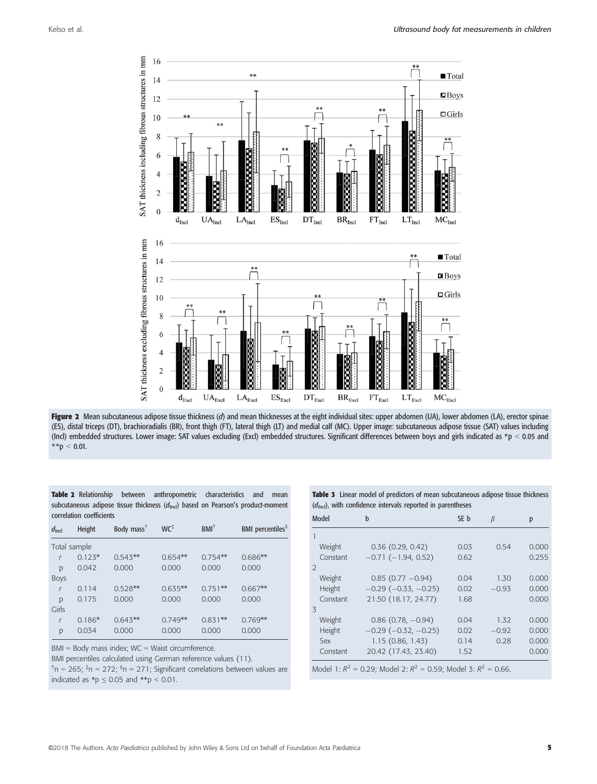

Figure 2 Mean subcutaneous adipose tissue thickness (d) and mean thicknesses at the eight individual sites: upper abdomen (UA), lower abdomen (LA), erector spinae (ES), distal triceps (DT), brachioradialis (BR), front thigh (FT), lateral thigh (LT) and medial calf (MC). Upper image: subcutaneous adipose tissue (SAT) values including (Incl) embedded structures. Lower image: SAT values excluding (Excl) embedded structures. Significant differences between boys and girls indicated as \*p < 0.05 and  $*$  $p$  < 0.01.

|                          | <b>Table 2</b> Relationship between anthropometric characteristics and                      |  | mean |
|--------------------------|---------------------------------------------------------------------------------------------|--|------|
|                          | subcutaneous adipose tissue thickness $(d_{\text{incl}})$ based on Pearson's product-moment |  |      |
| correlation coefficients |                                                                                             |  |      |

| $d_{\text{Incl}}$ | <b>Height</b> | Body mass <sup>T</sup> | $WC^{\ddagger}$ | $BMI^{\dagger}$ | BMI percentiles <sup>§</sup> |
|-------------------|---------------|------------------------|-----------------|-----------------|------------------------------|
|                   | Total sample  |                        |                 |                 |                              |
| $\mathcal{L}$     | $0.123*$      | $0.543**$              | $0.654**$       | $0.754**$       | $0.686**$                    |
| p                 | 0.042         | 0.000                  | 0.000           | 0.000           | 0.000                        |
| Boys              |               |                        |                 |                 |                              |
| $\mathsf{r}$      | 0.114         | $0.528**$              | $0.635**$       | $0.751**$       | $0.667**$                    |
| p                 | 0.175         | 0.000                  | 0.000           | 0.000           | 0.000                        |
| Girls             |               |                        |                 |                 |                              |
| $\sqrt{ }$        | $0.186*$      | $0.643**$              | $0.749**$       | $0.831**$       | $0.769**$                    |
| p                 | 0.034         | 0.000                  | 0.000           | 0.000           | 0.000                        |

BMI = Body mass index; WC = Waist circumference.

BMI percentiles calculated using German reference values (11).

<sup>†</sup>n = 265; <sup>‡</sup>n = 272; <sup>§</sup>n = 271; Significant correlations between values are indicated as \*p  $\leq$  0.05 and \*\*p  $<$  0.01.

**Table 3** Linear model of predictors of mean subcutaneous adipose tissue thickness  $(d_{\text{bol}})$ , with confidence intervals reported in parentheses

| Model                                                                | b                             | SE b | β       | p     |
|----------------------------------------------------------------------|-------------------------------|------|---------|-------|
|                                                                      |                               |      |         |       |
| Weight                                                               | 0.36(0.29, 0.42)              | 0.03 | 0.54    | 0.000 |
| Constant                                                             | $-0.71(-1.94, 0.52)$          | 0.62 |         | 0.255 |
| $\overline{2}$                                                       |                               |      |         |       |
| Weight                                                               | $0.85(0.77 - 0.94)$           | 0.04 | 1.30    | 0.000 |
| Height                                                               | $-0.29$ ( $-0.33$ , $-0.25$ ) | 0.02 | $-0.93$ | 0.000 |
| Constant                                                             | 21.50 (18.17, 24.77)          | 1.68 |         | 0.000 |
| $\overline{5}$                                                       |                               |      |         |       |
| Weight                                                               | $0.86$ (0.78, $-0.94$ )       | 0.04 | 1.32    | 0.000 |
| Height                                                               | $-0.29$ ( $-0.32$ , $-0.25$ ) | 0.02 | $-0.92$ | 0.000 |
| Sex                                                                  | 1.15(0.86, 1.43)              | 0.14 | 0.28    | 0.000 |
| Constant                                                             | 20.42 (17.43, 23.40)          | 1.52 |         | 0.000 |
| Model 1: $R^2$ = 0.29; Model 2: $R^2$ = 0.59; Model 3: $R^2$ = 0.66. |                               |      |         |       |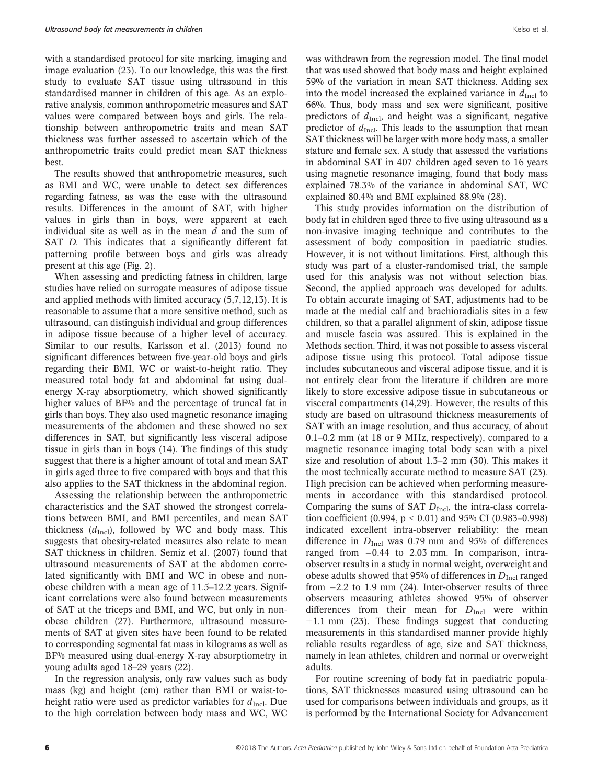with a standardised protocol for site marking, imaging and image evaluation (23). To our knowledge, this was the first study to evaluate SAT tissue using ultrasound in this standardised manner in children of this age. As an explorative analysis, common anthropometric measures and SAT values were compared between boys and girls. The relationship between anthropometric traits and mean SAT thickness was further assessed to ascertain which of the anthropometric traits could predict mean SAT thickness best.

The results showed that anthropometric measures, such as BMI and WC, were unable to detect sex differences regarding fatness, as was the case with the ultrasound results. Differences in the amount of SAT, with higher values in girls than in boys, were apparent at each individual site as well as in the mean  $d$  and the sum of SAT D. This indicates that a significantly different fat patterning profile between boys and girls was already present at this age (Fig. 2).

When assessing and predicting fatness in children, large studies have relied on surrogate measures of adipose tissue and applied methods with limited accuracy (5,7,12,13). It is reasonable to assume that a more sensitive method, such as ultrasound, can distinguish individual and group differences in adipose tissue because of a higher level of accuracy. Similar to our results, Karlsson et al. (2013) found no significant differences between five-year-old boys and girls regarding their BMI, WC or waist-to-height ratio. They measured total body fat and abdominal fat using dualenergy X-ray absorptiometry, which showed significantly higher values of BF% and the percentage of truncal fat in girls than boys. They also used magnetic resonance imaging measurements of the abdomen and these showed no sex differences in SAT, but significantly less visceral adipose tissue in girls than in boys (14). The findings of this study suggest that there is a higher amount of total and mean SAT in girls aged three to five compared with boys and that this also applies to the SAT thickness in the abdominal region.

Assessing the relationship between the anthropometric characteristics and the SAT showed the strongest correlations between BMI, and BMI percentiles, and mean SAT thickness  $(d_{\text{Incl}})$ , followed by WC and body mass. This suggests that obesity-related measures also relate to mean SAT thickness in children. Semiz et al. (2007) found that ultrasound measurements of SAT at the abdomen correlated significantly with BMI and WC in obese and nonobese children with a mean age of 11.5–12.2 years. Significant correlations were also found between measurements of SAT at the triceps and BMI, and WC, but only in nonobese children (27). Furthermore, ultrasound measurements of SAT at given sites have been found to be related to corresponding segmental fat mass in kilograms as well as BF% measured using dual-energy X-ray absorptiometry in young adults aged 18–29 years (22).

In the regression analysis, only raw values such as body mass (kg) and height (cm) rather than BMI or waist-toheight ratio were used as predictor variables for  $d_{\text{Incl}}$ . Due to the high correlation between body mass and WC, WC was withdrawn from the regression model. The final model that was used showed that body mass and height explained 59% of the variation in mean SAT thickness. Adding sex into the model increased the explained variance in  $d_{\text{Incl}}$  to 66%. Thus, body mass and sex were significant, positive predictors of  $d_{\text{Incl}}$ , and height was a significant, negative predictor of  $d_{\text{Incl}}$ . This leads to the assumption that mean SAT thickness will be larger with more body mass, a smaller stature and female sex. A study that assessed the variations in abdominal SAT in 407 children aged seven to 16 years using magnetic resonance imaging, found that body mass explained 78.3% of the variance in abdominal SAT, WC explained 80.4% and BMI explained 88.9% (28).

This study provides information on the distribution of body fat in children aged three to five using ultrasound as a non-invasive imaging technique and contributes to the assessment of body composition in paediatric studies. However, it is not without limitations. First, although this study was part of a cluster-randomised trial, the sample used for this analysis was not without selection bias. Second, the applied approach was developed for adults. To obtain accurate imaging of SAT, adjustments had to be made at the medial calf and brachioradialis sites in a few children, so that a parallel alignment of skin, adipose tissue and muscle fascia was assured. This is explained in the Methods section. Third, it was not possible to assess visceral adipose tissue using this protocol. Total adipose tissue includes subcutaneous and visceral adipose tissue, and it is not entirely clear from the literature if children are more likely to store excessive adipose tissue in subcutaneous or visceral compartments (14,29). However, the results of this study are based on ultrasound thickness measurements of SAT with an image resolution, and thus accuracy, of about 0.1–0.2 mm (at 18 or 9 MHz, respectively), compared to a magnetic resonance imaging total body scan with a pixel size and resolution of about 1.3–2 mm (30). This makes it the most technically accurate method to measure SAT (23). High precision can be achieved when performing measurements in accordance with this standardised protocol. Comparing the sums of SAT  $D<sub>Incl</sub>$ , the intra-class correlation coefficient (0.994,  $p < 0.01$ ) and 95% CI (0.983–0.998) indicated excellent intra-observer reliability: the mean difference in  $D_{\text{Incl}}$  was 0.79 mm and 95% of differences ranged from  $-0.44$  to 2.03 mm. In comparison, intraobserver results in a study in normal weight, overweight and obese adults showed that 95% of differences in  $D<sub>Incl</sub>$  ranged from  $-2.2$  to 1.9 mm (24). Inter-observer results of three observers measuring athletes showed 95% of observer differences from their mean for  $D<sub>Incl</sub>$  were within  $\pm 1.1$  mm (23). These findings suggest that conducting measurements in this standardised manner provide highly reliable results regardless of age, size and SAT thickness, namely in lean athletes, children and normal or overweight adults.

For routine screening of body fat in paediatric populations, SAT thicknesses measured using ultrasound can be used for comparisons between individuals and groups, as it is performed by the International Society for Advancement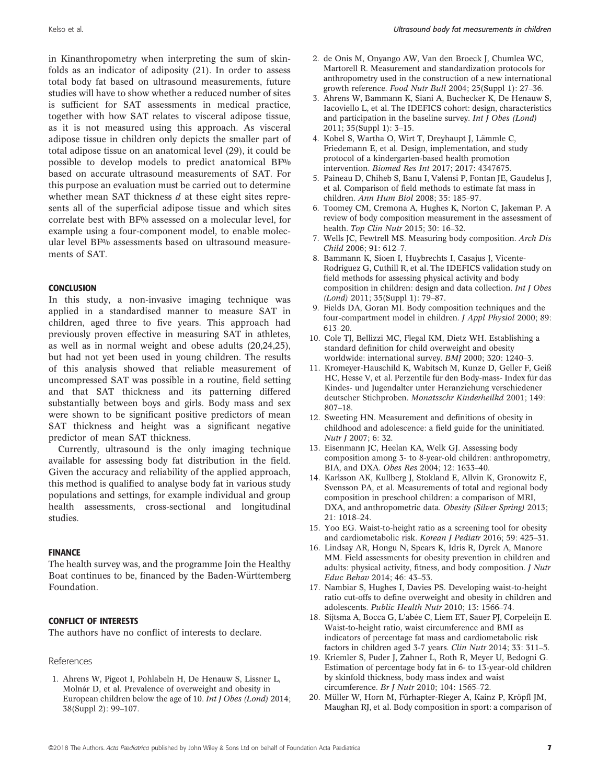in Kinanthropometry when interpreting the sum of skinfolds as an indicator of adiposity (21). In order to assess total body fat based on ultrasound measurements, future studies will have to show whether a reduced number of sites is sufficient for SAT assessments in medical practice, together with how SAT relates to visceral adipose tissue, as it is not measured using this approach. As visceral adipose tissue in children only depicts the smaller part of total adipose tissue on an anatomical level (29), it could be possible to develop models to predict anatomical BF% based on accurate ultrasound measurements of SAT. For this purpose an evaluation must be carried out to determine whether mean SAT thickness  $d$  at these eight sites represents all of the superficial adipose tissue and which sites correlate best with BF% assessed on a molecular level, for example using a four-component model, to enable molecular level BF% assessments based on ultrasound measurements of SAT.

# **CONCLUSION**

In this study, a non-invasive imaging technique was applied in a standardised manner to measure SAT in children, aged three to five years. This approach had previously proven effective in measuring SAT in athletes, as well as in normal weight and obese adults (20,24,25), but had not yet been used in young children. The results of this analysis showed that reliable measurement of uncompressed SAT was possible in a routine, field setting and that SAT thickness and its patterning differed substantially between boys and girls. Body mass and sex were shown to be significant positive predictors of mean SAT thickness and height was a significant negative predictor of mean SAT thickness.

Currently, ultrasound is the only imaging technique available for assessing body fat distribution in the field. Given the accuracy and reliability of the applied approach, this method is qualified to analyse body fat in various study populations and settings, for example individual and group health assessments, cross-sectional and longitudinal studies.

# FINANCE

The health survey was, and the programme Join the Healthy Boat continues to be, financed by the Baden-Württemberg Foundation.

## CONFLICT OF INTERESTS

The authors have no conflict of interests to declare.

## References

1. Ahrens W, Pigeot I, Pohlabeln H, De Henauw S, Lissner L, Molnár D, et al. Prevalence of overweight and obesity in European children below the age of 10. Int J Obes (Lond) 2014; 38(Suppl 2): 99–107.

- 2. de Onis M, Onyango AW, Van den Broeck J, Chumlea WC, Martorell R. Measurement and standardization protocols for anthropometry used in the construction of a new international growth reference. Food Nutr Bull 2004; 25(Suppl 1): 27–36.
- 3. Ahrens W, Bammann K, Siani A, Buchecker K, De Henauw S, Iacoviello L, et al. The IDEFICS cohort: design, characteristics and participation in the baseline survey. Int J Obes (Lond) 2011; 35(Suppl 1): 3–15.
- 4. Kobel S, Wartha O, Wirt T, Dreyhaupt J, Lämmle C, Friedemann E, et al. Design, implementation, and study protocol of a kindergarten-based health promotion intervention. Biomed Res Int 2017; 2017: 4347675.
- 5. Paineau D, Chiheb S, Banu I, Valensi P, Fontan JE, Gaudelus J, et al. Comparison of field methods to estimate fat mass in children. Ann Hum Biol 2008; 35: 185–97.
- 6. Toomey CM, Cremona A, Hughes K, Norton C, Jakeman P. A review of body composition measurement in the assessment of health. Top Clin Nutr 2015; 30: 16–32.
- 7. Wells JC, Fewtrell MS. Measuring body composition. Arch Dis Child 2006; 91: 612–7.
- 8. Bammann K, Sioen I, Huybrechts I, Casajus J, Vicente-Rodriguez G, Cuthill R, et al. The IDEFICS validation study on field methods for assessing physical activity and body composition in children: design and data collection. Int J Obes (Lond) 2011; 35(Suppl 1): 79–87.
- 9. Fields DA, Goran MI. Body composition techniques and the four-compartment model in children. J Appl Physiol 2000; 89: 613–20.
- 10. Cole TJ, Bellizzi MC, Flegal KM, Dietz WH. Establishing a standard definition for child overweight and obesity worldwide: international survey. BMJ 2000; 320: 1240–3.
- 11. Kromeyer-Hauschild K, Wabitsch M, Kunze D, Geller F, Geiß HC, Hesse V, et al. Perzentile für den Body-mass- Index für das Kindes- und Jugendalter unter Heranziehung verschiedener deutscher Stichproben. Monatsschr Kinderheilkd 2001; 149: 807–18.
- 12. Sweeting HN. Measurement and definitions of obesity in childhood and adolescence: a field guide for the uninitiated. Nutr J 2007; 6: 32.
- 13. Eisenmann JC, Heelan KA, Welk GJ. Assessing body composition among 3- to 8-year-old children: anthropometry, BIA, and DXA. Obes Res 2004; 12: 1633–40.
- 14. Karlsson AK, Kullberg J, Stokland E, Allvin K, Gronowitz E, Svensson PA, et al. Measurements of total and regional body composition in preschool children: a comparison of MRI, DXA, and anthropometric data. Obesity (Silver Spring) 2013; 21: 1018–24.
- 15. Yoo EG. Waist-to-height ratio as a screening tool for obesity and cardiometabolic risk. Korean J Pediatr 2016; 59: 425–31.
- 16. Lindsay AR, Hongu N, Spears K, Idris R, Dyrek A, Manore MM. Field assessments for obesity prevention in children and adults: physical activity, fitness, and body composition. J Nutr Educ Behav 2014; 46: 43–53.
- 17. Nambiar S, Hughes I, Davies PS. Developing waist-to-height ratio cut-offs to define overweight and obesity in children and adolescents. Public Health Nutr 2010; 13: 1566–74.
- 18. Sijtsma A, Bocca G, L'abée C, Liem ET, Sauer PJ, Corpeleijn E. Waist-to-height ratio, waist circumference and BMI as indicators of percentage fat mass and cardiometabolic risk factors in children aged 3-7 years. Clin Nutr 2014; 33: 311–5.
- 19. Kriemler S, Puder J, Zahner L, Roth R, Meyer U, Bedogni G. Estimation of percentage body fat in 6- to 13-year-old children by skinfold thickness, body mass index and waist circumference. Br J Nutr 2010; 104: 1565–72.
- 20. Müller W, Horn M, Fürhapter-Rieger A, Kainz P, Kröpfl JM, Maughan RJ, et al. Body composition in sport: a comparison of